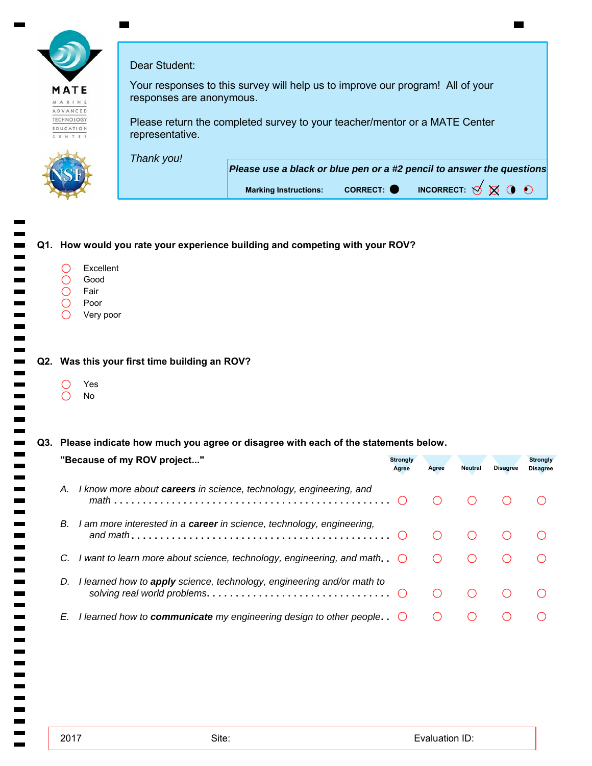|                                 | Dear Student:            |                                                                                               |
|---------------------------------|--------------------------|-----------------------------------------------------------------------------------------------|
| <b>1ATE</b><br>ARINE<br>DVANCED | responses are anonymous. | Your responses to this survey will help us to improve our program! All of your                |
| ECHNOLOGY<br>DUCATION<br>ENTER  | representative.          | Please return the completed survey to your teacher/mentor or a MATE Center                    |
|                                 | Thank you!               |                                                                                               |
|                                 |                          | Please use a black or blue pen or a #2 pencil to answer the questions                         |
|                                 |                          | INCORRECT: $\bigotimes$ $\bigotimes$ $\bigcirc$<br>CORRECT: O<br><b>Marking Instructions:</b> |

# $\overline{\phantom{a}}$ **Q1. How would you rate your experience building and competing with your ROV?** Ξ Excellent  $\bigcirc$  $\bigcirc$ Good  $\overline{O}$ Fair  $\bigcirc$ Poor -----------<br>--------- $\bigcirc$ Very poor Yes  $\bigcirc$ No  $\bigcirc$ **"Because of my ROV project..."** -------------*math and math solving real world problems*  $\frac{1}{2}$  $\overline{\phantom{a}}$  $\blacksquare$ 2017 Evaluation ID: Site: $\blacksquare$

**Q2. Was this your first time building an ROV?**

## **Q3. Please indicate how much you agree or disagree with each of the statements below.**

|    | "Because of my ROV project"                                                                                                                                      | <b>Strongly</b><br>Agree | Agree | <b>Neutral</b> | <b>Disagree</b> | <b>Strongly</b><br><b>Disagree</b> |
|----|------------------------------------------------------------------------------------------------------------------------------------------------------------------|--------------------------|-------|----------------|-----------------|------------------------------------|
| А. | I know more about <b>careers</b> in science, technology, engineering, and                                                                                        |                          |       |                |                 |                                    |
| В. | I am more interested in a <b>career</b> in science, technology, engineering,                                                                                     |                          |       |                |                 |                                    |
|    | C. I want to learn more about science, technology, engineering, and math. $\bigcirc$                                                                             |                          |       |                |                 |                                    |
| D. | I learned how to apply science, technology, engineering and/or math to<br>solving real world problems. $\ldots \ldots \ldots \ldots \ldots \ldots \ldots \ldots$ |                          |       |                |                 |                                    |
| E. | I learned how to <b>communicate</b> my engineering design to other people. $\bigcirc$                                                                            |                          |       |                |                 |                                    |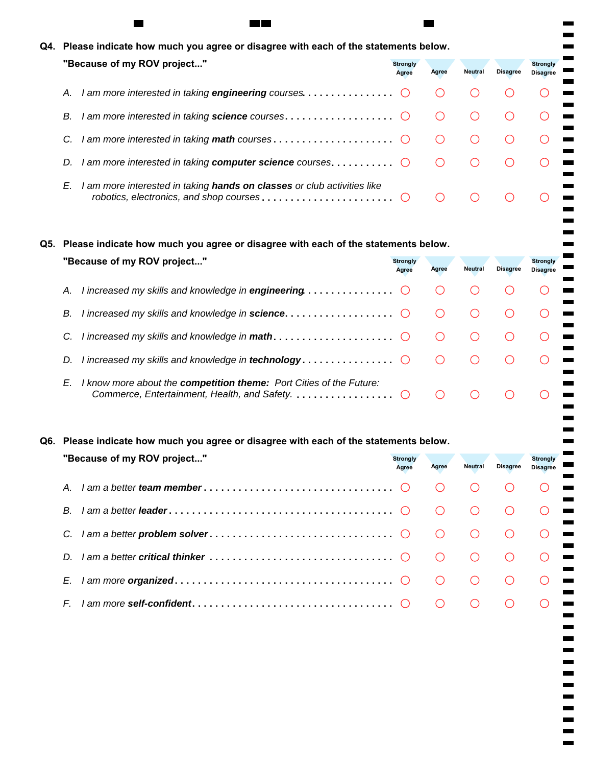| Q4. Please indicate how much you agree or disagree with each of the statements below.                                    |                          |       |                |                 |                                    |  |
|--------------------------------------------------------------------------------------------------------------------------|--------------------------|-------|----------------|-----------------|------------------------------------|--|
| "Because of my ROV project"                                                                                              | <b>Strongly</b><br>Agree | Agree | <b>Neutral</b> | <b>Disagree</b> | <b>Strongly</b><br><b>Disagree</b> |  |
| А.                                                                                                                       |                          |       |                |                 |                                    |  |
| I am more interested in taking science courses. $\ldots \ldots \ldots \ldots \ldots$<br>В.                               |                          |       |                |                 |                                    |  |
| C.                                                                                                                       |                          |       |                |                 |                                    |  |
| I am more interested in taking <b>computer science</b> courses. $\dots\dots\dots\dots$<br>D.                             |                          |       |                |                 |                                    |  |
| I am more interested in taking hands on classes or club activities like<br>E.<br>robotics, electronics, and shop courses |                          |       |                |                 |                                    |  |

 $\mathbf{r}$ ۰  $\overline{\phantom{0}}$ 

 $\blacksquare$  $\blacksquare$ 

----------<br>--------

 $\blacksquare$  $\blacksquare$  $\blacksquare$  $\mathbf{r}$ ۰

## **Q5. Please indicate how much you agree or disagree with each of the statements below.**

m m

| "Because of my ROV project"                                                                                                      | <b>Strongly</b><br>Agree | Agree | Neutral | <b>Disagree</b> | <b>Strongly</b><br><b>Disagree</b> |  |
|----------------------------------------------------------------------------------------------------------------------------------|--------------------------|-------|---------|-----------------|------------------------------------|--|
| I increased my skills and knowledge in <b>engineering</b> $\ldots \ldots \ldots \ldots$<br>А.                                    |                          |       |         |                 |                                    |  |
| I increased my skills and knowledge in science. $\ldots \ldots \ldots \ldots$<br>В.                                              |                          |       |         |                 |                                    |  |
|                                                                                                                                  |                          |       |         |                 |                                    |  |
| D.                                                                                                                               |                          |       |         |                 |                                    |  |
| I know more about the <b>competition theme:</b> Port Cities of the Future:<br>E.<br>Commerce, Entertainment, Health, and Safety. |                          |       |         |                 |                                    |  |

## **Q6. Please indicate how much you agree or disagree with each of the statements below.**

| "Because of my ROV project" | <b>Stronaly</b><br>Agree | Agree | <b>Neutral</b>         | <b>Disagree</b> | <b>Strongly</b><br><b>Disagree</b> |  |
|-----------------------------|--------------------------|-------|------------------------|-----------------|------------------------------------|--|
| $A_{-}$                     |                          |       |                        |                 |                                    |  |
| B.                          |                          |       |                        |                 |                                    |  |
|                             |                          |       |                        |                 |                                    |  |
|                             |                          |       |                        |                 |                                    |  |
| E.                          |                          |       | $\left( \quad \right)$ |                 |                                    |  |
| F.                          |                          |       |                        |                 |                                    |  |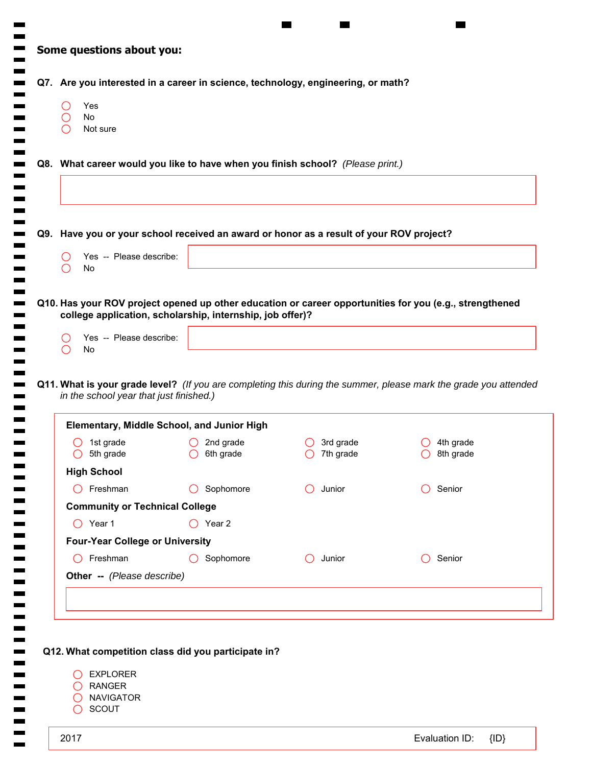| Yes<br>( )<br>No<br>$\left(\right)$<br>$\left( \begin{array}{c} 0 \\ 1 \end{array} \right)$<br>Not sure | Q7. Are you interested in a career in science, technology, engineering, or math?          |                             |                                                                                                                  |
|---------------------------------------------------------------------------------------------------------|-------------------------------------------------------------------------------------------|-----------------------------|------------------------------------------------------------------------------------------------------------------|
|                                                                                                         | Q8. What career would you like to have when you finish school? (Please print.)            |                             |                                                                                                                  |
|                                                                                                         | Q9. Have you or your school received an award or honor as a result of your ROV project?   |                             |                                                                                                                  |
| Yes -- Please describe:<br>( )<br>No<br>$\bigcirc$                                                      |                                                                                           |                             |                                                                                                                  |
| Yes -- Please describe:<br>( )                                                                          | college application, scholarship, internship, job offer)?                                 |                             | Q10. Has your ROV project opened up other education or career opportunities for you (e.g., strengthened          |
| No<br>$\bigcirc$                                                                                        |                                                                                           |                             |                                                                                                                  |
| in the school year that just finished.)                                                                 |                                                                                           |                             | Q11. What is your grade level? (If you are completing this during the summer, please mark the grade you attended |
| 1st grade<br>5th grade<br>$\circ$                                                                       | <b>Elementary, Middle School, and Junior High</b><br>2nd grade<br>6th grade<br>$\bigcirc$ | 3rd grade<br>7th grade<br>◯ | 4th grade<br>8th grade<br>◯                                                                                      |
| <b>High School</b>                                                                                      |                                                                                           |                             |                                                                                                                  |
| $\bigcap$ Freshman                                                                                      | Sophomore<br>$\left( \right)$                                                             | Junior                      | Senior                                                                                                           |
| <b>Community or Technical College</b>                                                                   |                                                                                           |                             |                                                                                                                  |
| $\bigcirc$ Year 1                                                                                       | $\bigcirc$ Year 2                                                                         |                             |                                                                                                                  |
| <b>Four-Year College or University</b>                                                                  |                                                                                           |                             |                                                                                                                  |
| Freshman<br>$\left( \begin{array}{c} \end{array} \right)$                                               | Sophomore                                                                                 | Junior                      | Senior                                                                                                           |
| Other -- (Please describe)                                                                              |                                                                                           |                             |                                                                                                                  |
|                                                                                                         |                                                                                           |                             |                                                                                                                  |

 $\overline{\phantom{a}}$  $\blacksquare$ 

**COL**  $\blacksquare$  $\blacksquare$